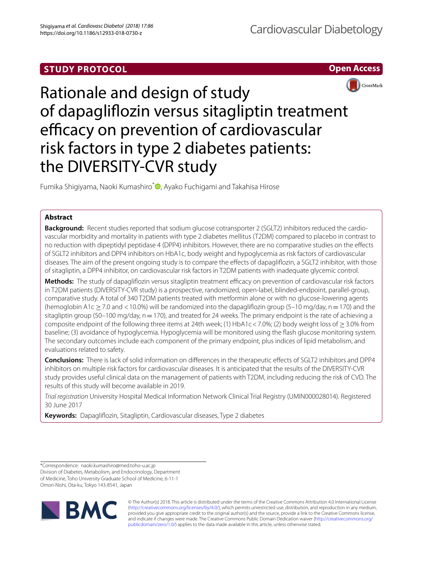## **STUDY PROTOCOL**





# Rationale and design of study of dapaglifozin versus sitagliptin treatment efficacy on prevention of cardiovascular risk factors in type 2 diabetes patients: the DIVERSITY-CVR study

Fumika Shigiyama, Naoki Kumashiro<sup>[\\*](http://orcid.org/0000-0002-5432-3599)</sup> , Ayako Fuchigami and Takahisa Hirose

## **Abstract**

**Background:** Recent studies reported that sodium glucose cotransporter 2 (SGLT2) inhibitors reduced the cardiovascular morbidity and mortality in patients with type 2 diabetes mellitus (T2DM) compared to placebo in contrast to no reduction with dipeptidyl peptidase 4 (DPP4) inhibitors. However, there are no comparative studies on the efects of SGLT2 inhibitors and DPP4 inhibitors on HbA1c, body weight and hypoglycemia as risk factors of cardiovascular diseases. The aim of the present ongoing study is to compare the efects of dapaglifozin, a SGLT2 inhibitor, with those of sitagliptin, a DPP4 inhibitor, on cardiovascular risk factors in T2DM patients with inadequate glycemic control.

Methods: The study of dapagliflozin versus sitagliptin treatment efficacy on prevention of cardiovascular risk factors in T2DM patients (DIVERSITY-CVR study) is a prospective, randomized, open-label, blinded-endpoint, parallel-group, comparative study. A total of 340 T2DM patients treated with metformin alone or with no glucose-lowering agents (hemoglobin A1c  $>$  7.0 and  $<$  10.0%) will be randomized into the dapagliflozin group (5–10 mg/day, n = 170) and the sitagliptin group (50–100 mg/day,  $n=170$ ), and treated for 24 weeks. The primary endpoint is the rate of achieving a composite endpoint of the following three items at 24th week; (1) HbA1c < 7.0%; (2) body weight loss of  $\geq$  3.0% from baseline; (3) avoidance of hypoglycemia. Hypoglycemia will be monitored using the fash glucose monitoring system. The secondary outcomes include each component of the primary endpoint, plus indices of lipid metabolism, and evaluations related to safety.

**Conclusions:** There is lack of solid information on diferences in the therapeutic efects of SGLT2 inhibitors and DPP4 inhibitors on multiple risk factors for cardiovascular diseases. It is anticipated that the results of the DIVERSITY-CVR study provides useful clinical data on the management of patients with T2DM, including reducing the risk of CVD. The results of this study will become available in 2019.

*Trial registration* University Hospital Medical Information Network Clinical Trial Registry (UMIN000028014). Registered 30 June 2017

**Keywords:** Dapaglifozin, Sitagliptin, Cardiovascular diseases, Type 2 diabetes

\*Correspondence: naoki.kumashiro@med.toho-u.ac.jp

Division of Diabetes, Metabolism, and Endocrinology, Department of Medicine, Toho University Graduate School of Medicine, 6-11-1

Omori-Nishi, Ota-ku, Tokyo 143-8541, Japan



© The Author(s) 2018. This article is distributed under the terms of the Creative Commons Attribution 4.0 International License [\(http://creativecommons.org/licenses/by/4.0/\)](http://creativecommons.org/licenses/by/4.0/), which permits unrestricted use, distribution, and reproduction in any medium, provided you give appropriate credit to the original author(s) and the source, provide a link to the Creative Commons license, and indicate if changes were made. The Creative Commons Public Domain Dedication waiver ([http://creativecommons.org/](http://creativecommons.org/publicdomain/zero/1.0/) [publicdomain/zero/1.0/](http://creativecommons.org/publicdomain/zero/1.0/)) applies to the data made available in this article, unless otherwise stated.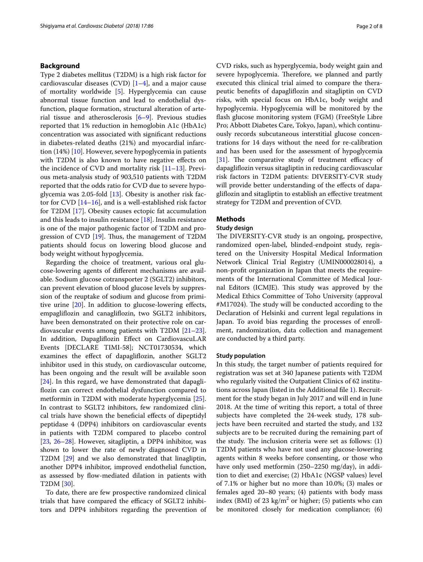## **Background**

Type 2 diabetes mellitus (T2DM) is a high risk factor for cardiovascular diseases (CVD)  $[1-4]$  $[1-4]$ , and a major cause of mortality worldwide [\[5](#page-5-2)]. Hyperglycemia can cause abnormal tissue function and lead to endothelial dysfunction, plaque formation, structural alteration of arterial tissue and atherosclerosis  $[6-9]$  $[6-9]$ . Previous studies reported that 1% reduction in hemoglobin A1c (HbA1c) concentration was associated with signifcant reductions in diabetes-related deaths (21%) and myocardial infarction (14%) [[10](#page-6-2)]. However, severe hypoglycemia in patients with T2DM is also known to have negative effects on the incidence of CVD and mortality risk [[11](#page-6-3)[–13](#page-6-4)]. Previous meta-analysis study of 903,510 patients with T2DM reported that the odds ratio for CVD due to severe hypoglycemia was 2.05-fold [[13\]](#page-6-4). Obesity is another risk factor for CVD [[14–](#page-6-5)[16](#page-6-6)], and is a well-established risk factor for T2DM [[17\]](#page-6-7). Obesity causes ectopic fat accumulation and this leads to insulin resistance  $[18]$  $[18]$  $[18]$ . Insulin resistance is one of the major pathogenic factor of T2DM and progression of CVD  $[19]$  $[19]$ . Thus, the management of T2DM patients should focus on lowering blood glucose and body weight without hypoglycemia.

Regarding the choice of treatment, various oral glucose-lowering agents of diferent mechanisms are available. Sodium glucose cotransporter 2 (SGLT2) inhibitors, can prevent elevation of blood glucose levels by suppression of the reuptake of sodium and glucose from primitive urine [[20\]](#page-6-10). In addition to glucose-lowering efects, empaglifozin and canaglifozin, two SGLT2 inhibitors, have been demonstrated on their protective role on cardiovascular events among patients with T2DM [[21](#page-6-11)[–23](#page-6-12)]. In addition, Dapaglifozin Efect on CardiovascuLAR Events [DECLARE TIMI-58]; NCT01730534, which examines the efect of dapaglifozin, another SGLT2 inhibitor used in this study, on cardiovascular outcome, has been ongoing and the result will be available soon [[24\]](#page-6-13). In this regard, we have demonstrated that dapaglifozin can correct endothelial dysfunction compared to metformin in T2DM with moderate hyperglycemia [\[25](#page-6-14)]. In contrast to SGLT2 inhibitors, few randomized clinical trials have shown the benefcial efects of dipeptidyl peptidase 4 (DPP4) inhibitors on cardiovascular events in patients with T2DM compared to placebo control [[23,](#page-6-12) [26](#page-6-15)[–28](#page-6-16)]. However, sitagliptin, a DPP4 inhibitor, was shown to lower the rate of newly diagnosed CVD in T2DM [\[29\]](#page-6-17) and we also demonstrated that linagliptin, another DPP4 inhibitor, improved endothelial function, as assessed by fow-mediated dilation in patients with T2DM [\[30\]](#page-6-18).

To date, there are few prospective randomized clinical trials that have compared the efficacy of SGLT2 inhibitors and DPP4 inhibitors regarding the prevention of CVD risks, such as hyperglycemia, body weight gain and severe hypoglycemia. Therefore, we planned and partly executed this clinical trial aimed to compare the therapeutic benefts of dapaglifozin and sitagliptin on CVD risks, with special focus on HbA1c, body weight and hypoglycemia. Hypoglycemia will be monitored by the fash glucose monitoring system (FGM) (FreeStyle Libre Pro; Abbott Diabetes Care, Tokyo, Japan), which continuously records subcutaneous interstitial glucose concentrations for 14 days without the need for re-calibration and has been used for the assessment of hypoglycemia  $[31]$  $[31]$ . The comparative study of treatment efficacy of dapaglifozin versus sitagliptin in reducing cardiovascular risk factors in T2DM patients: DIVERSITY-CVR study will provide better understanding of the effects of dapaglifozin and sitagliptin to establish an efective treatment strategy for T2DM and prevention of CVD.

## **Methods**

## **Study design**

The DIVERSITY-CVR study is an ongoing, prospective, randomized open-label, blinded-endpoint study, registered on the University Hospital Medical Information Network Clinical Trial Registry (UMIN000028014), a non-proft organization in Japan that meets the requirements of the International Committee of Medical Journal Editors (ICMJE). This study was approved by the Medical Ethics Committee of Toho University (approval #M17024). The study will be conducted according to the Declaration of Helsinki and current legal regulations in Japan. To avoid bias regarding the processes of enrollment, randomization, data collection and management are conducted by a third party.

## **Study population**

In this study, the target number of patients required for registration was set at 340 Japanese patients with T2DM who regularly visited the Outpatient Clinics of 62 institutions across Japan (listed in the Additional fle [1](#page-5-3)). Recruitment for the study began in July 2017 and will end in June 2018. At the time of writing this report, a total of three subjects have completed the 24-week study, 178 subjects have been recruited and started the study, and 132 subjects are to be recruited during the remaining part of the study. The inclusion criteria were set as follows:  $(1)$ T2DM patients who have not used any glucose-lowering agents within 8 weeks before consenting, or those who have only used metformin (250–2250 mg/day), in addition to diet and exercise; (2) HbA1c (NGSP values) level of 7.1% or higher but no more than 10.0%; (3) males or females aged 20–80 years; (4) patients with body mass index (BMI) of 23  $\text{kg/m}^2$  or higher; (5) patients who can be monitored closely for medication compliance; (6)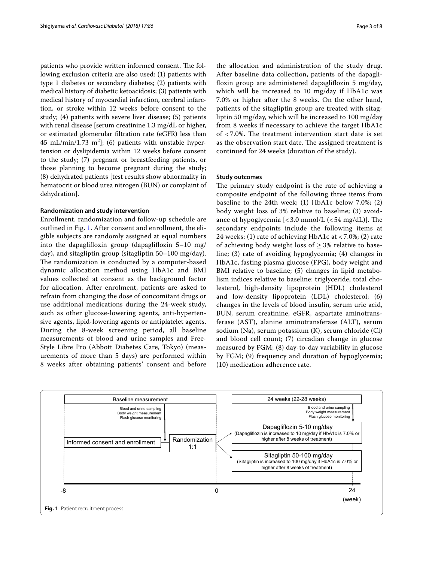patients who provide written informed consent. The following exclusion criteria are also used: (1) patients with type 1 diabetes or secondary diabetes; (2) patients with medical history of diabetic ketoacidosis; (3) patients with medical history of myocardial infarction, cerebral infarction, or stroke within 12 weeks before consent to the study; (4) patients with severe liver disease; (5) patients with renal disease [serum creatinine 1.3 mg/dL or higher, or estimated glomerular fltration rate (eGFR) less than  $45 \text{ mL/min}/1.73 \text{ m}^2$ ]; (6) patients with unstable hypertension or dyslipidemia within 12 weeks before consent to the study; (7) pregnant or breastfeeding patients, or those planning to become pregnant during the study; (8) dehydrated patients [test results show abnormality in hematocrit or blood urea nitrogen (BUN) or complaint of dehydration].

## **Randomization and study intervention**

Enrollment, randomization and follow-up schedule are outlined in Fig. [1.](#page-2-0) After consent and enrollment, the eligible subjects are randomly assigned at equal numbers into the dapaglifozin group (dapaglifozin 5–10 mg/ day), and sitagliptin group (sitagliptin 50–100 mg/day). The randomization is conducted by a computer-based dynamic allocation method using HbA1c and BMI values collected at consent as the background factor for allocation. After enrolment, patients are asked to refrain from changing the dose of concomitant drugs or use additional medications during the 24-week study, such as other glucose-lowering agents, anti-hypertensive agents, lipid-lowering agents or antiplatelet agents. During the 8-week screening period, all baseline measurements of blood and urine samples and Free-Style Libre Pro (Abbott Diabetes Care, Tokyo) (measurements of more than 5 days) are performed within 8 weeks after obtaining patients' consent and before the allocation and administration of the study drug. After baseline data collection, patients of the dapaglifozin group are administered dapaglifozin 5 mg/day, which will be increased to 10 mg/day if HbA1c was 7.0% or higher after the 8 weeks. On the other hand, patients of the sitagliptin group are treated with sitagliptin 50 mg/day, which will be increased to 100 mg/day from 8 weeks if necessary to achieve the target HbA1c of  $<$  7.0%. The treatment intervention start date is set as the observation start date. The assigned treatment is continued for 24 weeks (duration of the study).

## **Study outcomes**

The primary study endpoint is the rate of achieving a composite endpoint of the following three items from baseline to the 24th week; (1) HbA1c below 7.0%; (2) body weight loss of 3% relative to baseline; (3) avoidance of hypoglycemia  $\left[ < 3.0 \text{ mmol/L } \left( < 54 \text{ mg/dL} \right) \right]$ . The secondary endpoints include the following items at 24 weeks: (1) rate of achieving HbA1c at < 7.0%; (2) rate of achieving body weight loss of  $\geq$  3% relative to baseline; (3) rate of avoiding hypoglycemia; (4) changes in HbA1c, fasting plasma glucose (FPG), body weight and BMI relative to baseline; (5) changes in lipid metabolism indices relative to baseline: triglyceride, total cholesterol, high-density lipoprotein (HDL) cholesterol and low-density lipoprotein (LDL) cholesterol; (6) changes in the levels of blood insulin, serum uric acid, BUN, serum creatinine, eGFR, aspartate aminotransferase (AST), alanine aminotransferase (ALT), serum sodium (Na), serum potassium (K), serum chloride (Cl) and blood cell count; (7) circadian change in glucose measured by FGM; (8) day-to-day variability in glucose by FGM; (9) frequency and duration of hypoglycemia; (10) medication adherence rate.

<span id="page-2-0"></span>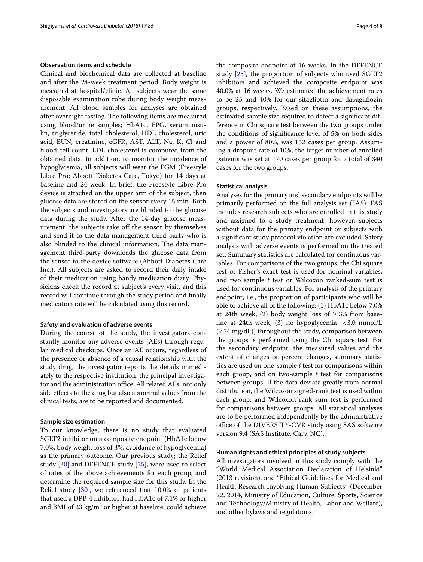### **Observation items and schedule**

Clinical and biochemical data are collected at baseline and after the 24-week treatment period. Body weight is measured at hospital/clinic. All subjects wear the same disposable examination robe during body weight measurement. All blood samples for analyses are obtained after overnight fasting. The following items are measured using blood/urine samples; HbA1c, FPG, serum insulin, triglyceride, total cholesterol, HDL cholesterol, uric acid, BUN, creatinine, eGFR, AST, ALT, Na, K, Cl and blood cell count. LDL cholesterol is computed from the obtained data. In addition, to monitor the incidence of hypoglycemia, all subjects will wear the FGM (Freestyle Libre Pro; Abbott Diabetes Care, Tokyo) for 14 days at baseline and 24-week. In brief, the Freestyle Libre Pro device is attached on the upper arm of the subject, then glucose data are stored on the sensor every 15 min. Both the subjects and investigators are blinded to the glucose data during the study. After the 14-day glucose measurement, the subjects take off the sensor by themselves and send it to the data management third-party who is also blinded to the clinical information. The data management third-party downloads the glucose data from the sensor to the device software (Abbott Diabetes Care Inc.). All subjects are asked to record their daily intake of their medication using handy medication diary. Physicians check the record at subject's every visit, and this record will continue through the study period and fnally medication rate will be calculated using this record.

## **Safety and evaluation of adverse events**

During the course of the study, the investigators constantly monitor any adverse events (AEs) through regular medical checkups. Once an AE occurs, regardless of the presence or absence of a causal relationship with the study drug, the investigator reports the details immediately to the respective institution, the principal investigator and the administration office. All related AEs, not only side efects to the drug but also abnormal values from the clinical tests, are to be reported and documented.

## **Sample size estimation**

To our knowledge, there is no study that evaluated SGLT2 inhibitor on a composite endpoint (HbA1c below 7.0%, body weight loss of 3%, avoidance of hypoglycemia) as the primary outcome. Our previous study; the Relief study [[30\]](#page-6-18) and DEFENCE study [[25](#page-6-14)], were used to select of rates of the above achievements for each group, and determine the required sample size for this study. In the Relief study [[30\]](#page-6-18), we referenced that 10.0% of patients that used a DPP-4 inhibitor, had HbA1c of 7.1% or higher and BMI of 23 kg/m<sup>2</sup> or higher at baseline, could achieve the composite endpoint at 16 weeks. In the DEFENCE study [[25](#page-6-14)], the proportion of subjects who used SGLT2 inhibitors and achieved the composite endpoint was 40.0% at 16 weeks. We estimated the achievement rates to be 25 and 40% for our sitagliptin and dapaglifozin groups, respectively. Based on these assumptions, the estimated sample size required to detect a signifcant difference in Chi square test between the two groups under the conditions of signifcance level of 5% on both sides and a power of 80%, was 152 cases per group. Assuming a dropout rate of 10%, the target number of enrolled patients was set at 170 cases per group for a total of 340 cases for the two groups.

## **Statistical analysis**

Analyses for the primary and secondary endpoints will be primarily performed on the full analysis set (FAS). FAS includes research subjects who are enrolled in this study and assigned to a study treatment, however, subjects without data for the primary endpoint or subjects with a signifcant study protocol violation are excluded. Safety analysis with adverse events is performed on the treated set. Summary statistics are calculated for continuous variables. For comparisons of the two groups, the Chi square test or Fisher's exact test is used for nominal variables, and two sample *t* test or Wilcoxon ranked-sum test is used for continuous variables. For analysis of the primary endpoint, i.e., the proportion of participants who will be able to achieve all of the following: (1) HbA1c below 7.0% at 24th week, (2) body weight loss of  $\geq$  3% from baseline at 24th week,  $(3)$  no hypoglycemia  $\leq 3.0$  mmol/L  $\left( < 54 \text{ mg/dL} \right)$  throughout the study, comparison between the groups is performed using the Chi square test. For the secondary endpoint, the measured values and the extent of changes or percent changes, summary statistics are used on one-sample *t* test for comparisons within each group, and on two-sample *t* test for comparisons between groups. If the data deviate greatly from normal distribution, the Wilcoxon signed-rank test is used within each group, and Wilcoxon rank sum test is performed for comparisons between groups. All statistical analyses are to be performed independently by the administrative office of the DIVERSITY-CVR study using SAS software version 9.4 (SAS Institute, Cary, NC).

## **Human rights and ethical principles of study subjects**

All investigators involved in this study comply with the "World Medical Association Declaration of Helsinki" (2013 revision), and "Ethical Guidelines for Medical and Health Research Involving Human Subjects" (December 22, 2014, Ministry of Education, Culture, Sports, Science and Technology/Ministry of Health, Labor and Welfare), and other bylaws and regulations.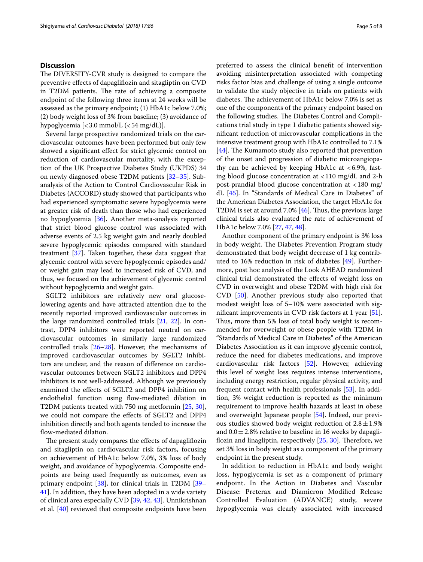## **Discussion**

The DIVERSITY-CVR study is designed to compare the preventive efects of dapaglifozin and sitagliptin on CVD in T2DM patients. The rate of achieving a composite endpoint of the following three items at 24 weeks will be assessed as the primary endpoint; (1) HbA1c below 7.0%; (2) body weight loss of 3% from baseline; (3) avoidance of hypoglycemia  $\left[ \langle 3.0 \text{ mmol/L} \left( \langle 54 \text{ mg/dL} \rangle \right] \right]$ .

Several large prospective randomized trials on the cardiovascular outcomes have been performed but only few showed a signifcant efect for strict glycemic control on reduction of cardiovascular mortality, with the exception of the UK Prospective Diabetes Study (UKPDS) 34 on newly diagnosed obese T2DM patients [[32](#page-6-20)[–35](#page-6-21)]. Subanalysis of the Action to Control Cardiovascular Risk in Diabetes (ACCORD) study showed that participants who had experienced symptomatic severe hypoglycemia were at greater risk of death than those who had experienced no hypoglycemia [[36\]](#page-6-22). Another meta-analysis reported that strict blood glucose control was associated with adverse events of 2.5 kg weight gain and nearly doubled severe hypoglycemic episodes compared with standard treatment [\[37](#page-6-23)]. Taken together, these data suggest that glycemic control with severe hypoglycemic episodes and/ or weight gain may lead to increased risk of CVD, and thus, we focused on the achievement of glycemic control without hypoglycemia and weight gain.

SGLT2 inhibitors are relatively new oral glucoselowering agents and have attracted attention due to the recently reported improved cardiovascular outcomes in the large randomized controlled trials [\[21](#page-6-11), [22](#page-6-24)]. In contrast, DPP4 inhibitors were reported neutral on cardiovascular outcomes in similarly large randomized controlled trials  $[26-28]$  $[26-28]$ . However, the mechanisms of improved cardiovascular outcomes by SGLT2 inhibitors are unclear, and the reason of diference on cardiovascular outcomes between SGLT2 inhibitors and DPP4 inhibitors is not well-addressed. Although we previously examined the efects of SGLT2 and DPP4 inhibition on endothelial function using flow-mediated dilation in T2DM patients treated with 750 mg metformin [\[25](#page-6-14), [30](#page-6-18)], we could not compare the efects of SGLT2 and DPP4 inhibition directly and both agents tended to increase the flow-mediated dilation.

The present study compares the effects of dapagliflozin and sitagliptin on cardiovascular risk factors, focusing on achievement of HbA1c below 7.0%, 3% loss of body weight, and avoidance of hypoglycemia. Composite endpoints are being used frequently as outcomes, even as primary endpoint [\[38\]](#page-6-25), for clinical trials in T2DM [[39–](#page-6-26) [41\]](#page-6-27). In addition, they have been adopted in a wide variety of clinical area especially CVD [\[39](#page-6-26), [42,](#page-7-0) [43](#page-7-1)]. Unnikrishnan et al. [\[40](#page-6-28)] reviewed that composite endpoints have been preferred to assess the clinical beneft of intervention avoiding misinterpretation associated with competing risks factor bias and challenge of using a single outcome to validate the study objective in trials on patients with diabetes. The achievement of HbA1c below 7.0% is set as one of the components of the primary endpoint based on the following studies. The Diabetes Control and Complications trial study in type 1 diabetic patients showed signifcant reduction of microvascular complications in the intensive treatment group with HbA1c controlled to 7.1% [[44\]](#page-7-2). The Kumamoto study also reported that prevention of the onset and progression of diabetic microangiopathy can be achieved by keeping HbA1c at  $<6.9\%$ , fasting blood glucose concentration at <110 mg/dL and 2-h post-prandial blood glucose concentration at <180 mg/ dL [[45](#page-7-3)]. In "Standards of Medical Care in Diabetes" of the American Diabetes Association, the target HbA1c for T2DM is set at around 7.0%  $[46]$  $[46]$  $[46]$ . Thus, the previous large clinical trials also evaluated the rate of achievement of HbA1c below 7.0% [\[27,](#page-6-29) [47](#page-7-5), [48\]](#page-7-6).

Another component of the primary endpoint is 3% loss in body weight. The Diabetes Prevention Program study demonstrated that body weight decrease of 1 kg contributed to 16% reduction in risk of diabetes [\[49](#page-7-7)]. Furthermore, post hoc analysis of the Look AHEAD randomized clinical trial demonstrated the efects of weight loss on CVD in overweight and obese T2DM with high risk for CVD [\[50\]](#page-7-8). Another previous study also reported that modest weight loss of 5–10% were associated with signifcant improvements in CVD risk factors at 1 year [\[51](#page-7-9)]. Thus, more than 5% loss of total body weight is recommended for overweight or obese people with T2DM in "Standards of Medical Care in Diabetes" of the American Diabetes Association as it can improve glycemic control, reduce the need for diabetes medications, and improve cardiovascular risk factors [[52\]](#page-7-10). However, achieving this level of weight loss requires intense interventions, including energy restriction, regular physical activity, and frequent contact with health professionals [[53\]](#page-7-11). In addition, 3% weight reduction is reported as the minimum requirement to improve health hazards at least in obese and overweight Japanese people [\[54](#page-7-12)]. Indeed, our previous studies showed body weight reduction of  $2.8 \pm 1.9\%$ and  $0.0\pm2.8\%$  relative to baseline in 16 weeks by dapagliflozin and linagliptin, respectively  $[25, 30]$  $[25, 30]$  $[25, 30]$  $[25, 30]$  $[25, 30]$ . Therefore, we set 3% loss in body weight as a component of the primary endpoint in the present study.

In addition to reduction in HbA1c and body weight loss, hypoglycemia is set as a component of primary endpoint. In the Action in Diabetes and Vascular Disease: Preterax and Diamicron Modifed Release Controlled Evaluation (ADVANCE) study, severe hypoglycemia was clearly associated with increased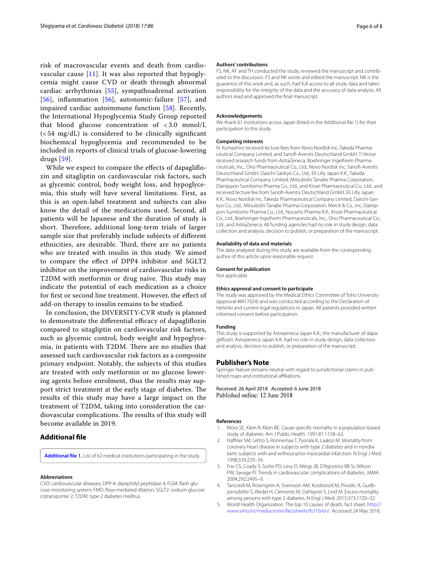risk of macrovascular events and death from cardiovascular cause [[11\]](#page-6-3). It was also reported that hypoglycemia might cause CVD or death through abnormal cardiac arrhythmias [\[55](#page-7-13)], sympathoadrenal activation [[56](#page-7-14)], inflammation [\[56](#page-7-14)], autonomic-failure [[57\]](#page-7-15), and impaired cardiac autoimmune function [[58](#page-7-16)]. Recently, the International Hypoglycemia Study Group reported that blood glucose concentration of  $< 3.0$  mmol/L  $\left($  < 54 mg/dL) is considered to be clinically significant biochemical hypoglycemia and recommended to be included in reports of clinical trials of glucose-lowering drugs [\[59](#page-7-17)].

While we expect to compare the efects of dapaglifozin and sitagliptin on cardiovascular risk factors, such as glycemic control, body weight loss, and hypoglycemia, this study will have several limitations. First, as this is an open-label treatment and subjects can also know the detail of the medications used. Second, all patients will be Japanese and the duration of study is short. Therefore, additional long-term trials of larger sample size that preferably include subjects of diferent ethnicities, are desirable. Third, there are no patients who are treated with insulin in this study. We aimed to compare the efect of DPP4 inhibitor and SGLT2 inhibitor on the improvement of cardiovascular risks in T2DM with metformin or drug naive. This study may indicate the potential of each medication as a choice for frst or second line treatment. However, the efect of add-on therapy to insulin remains to be studied.

In conclusion, the DIVERSITY-CVR study is planned to demonstrate the differential efficacy of dapagliflozin compared to sitagliptin on cardiovascular risk factors, such as glycemic control, body weight and hypoglycemia, in patients with T2DM. There are no studies that assessed such cardiovascular risk factors as a composite primary endpoint. Notably, the subjects of this studies are treated with only metformin or no glucose lowering agents before enrolment, thus the results may support strict treatment at the early stage of diabetes. The results of this study may have a large impact on the treatment of T2DM, taking into consideration the cardiovascular complications. The results of this study will become available in 2019.

## **Additional fle**

<span id="page-5-3"></span>**[Additional fle 1.](https://doi.org/10.1186/s12933-018-0730-z)** List of 62 medical institutions participating in the study.

#### **Abbreviations**

CVD: cardiovascular diseases; DPP-4: dipeptidyl peptidase 4; FGM: fash glucose monitoring system; FMD: fow-mediated dilation; SGLT2: sodium glucose cotransporter 2; T2DM: type 2 diabetes mellitus.

#### **Authors' contributions**

FS, NK, AF and TH conducted the study, reviewed the manuscript and contributed to the discussion. FS and NK wrote and edited the manuscript. NK is the guarantor of this work and, as such, had full access to all study data and takes responsibility for the integrity of the data and the accuracy of data analysis. All authors read and approved the fnal manuscript.

#### **Acknowledgements**

We thank 61 institutions across Japan (listed in the Additional file [1\)](#page-5-3) for their participation to this study.

#### **Competing interests**

N. Kumashiro received lecture fees from Novo Nordisk Inc, Takeda Pharmaceutical Company Limited, and Sanof-Aventis Deutschland GmbH. T Hirose received research funds from AstraZeneca, Boehringer Ingelheim Pharmaceuticals, Inc., Ono Pharmaceutical Co., Ltd., Novo Nordisk Inc, Sanof-Aventis Deutschland GmbH, Daiichi-Sankyo Co., Ltd., Eli Lilly Japan K.K., Takeda Pharmaceutical Company Limited, Mitsubishi Tanabe Pharma Corporation, Dainippon Sumitomo Pharma Co., Ltd., and Kissei Pharmaceutical Co., Ltd., and received lecture fee from Sanof-Aventis Deutschland GmbH, Eli Lilly Japan K.K., Novo Nordisk Inc, Takeda Pharmaceutical Company Limited, Daiichi-Sankyo Co., Ltd., Mitsubishi Tanabe Pharma Corporation, Merck & Co., Inc, Dainippon Sumitomo Pharma Co., Ltd., Novartis Pharma K.K., Kissei Pharmaceutical Co., Ltd., Boehringer Ingelheim Pharmaceuticals, Inc., Ono Pharmaceutical Co., Ltd., and AstraZeneca. All funding agencies had no role in study design, data collection and analysis, decision to publish, or preparation of the manuscript.

#### **Availability of data and materials**

The data analyzed during this study are available from the corresponding author of this article upon reasonable request.

#### **Consent for publication**

Not applicable.

#### **Ethics approval and consent to participate**

The study was approved by the Medical Ethics Committee of Toho University (approval #M17024) and was conducted according to the Declaration of Helsinki and current legal regulations in Japan. All patients provided written informed consent before participation.

#### **Funding**

This study is supported by Astrazeneca Japan K.K.; the manufacturer of dapaglifozin. Astrazeneca Japan K.K. had no role in study design, data collection and analysis, decision to publish, or preparation of the manuscript.

#### **Publisher's Note**

Springer Nature remains neutral with regard to jurisdictional claims in published maps and institutional afliations.

Received: 26 April 2018 Accepted: 6 June 2018 Published online: 12 June 2018

#### **References**

- <span id="page-5-0"></span>1. Moss SE, Klein R, Klein BE. Cause-specifc mortality in a population-based study of diabetes. Am J Public Health. 1991;81:1158–62.
- 2. Hafner SM, Lehto S, Ronnemaa T, Pyorala K, Laakso M. Mortality from coronary heart disease in subjects with type 2 diabetes and in nondiabetic subjects with and without prior myocardial infarction. N Engl J Med. 1998;339:229–34.
- 3. Fox CS, Coady S, Sorlie PD, Levy D, Meigs JB, D'Agostino RB Sr, Wilson PW, Savage PJ. Trends in cardiovascular complications of diabetes. JAMA. 2004;292:2495–9.
- <span id="page-5-1"></span>4. Tancredi M, Rosengren A, Svensson AM, Kosiborod M, Pivodic A, Gudbjornsdottir S, Wedel H, Clements M, Dahlqvist S, Lind M. Excess mortality among persons with type 2 diabetes. N Engl J Med. 2015;373:1720–32.
- <span id="page-5-2"></span>5. World Health Organization. The top 10 causes of death, fact sheet. [http://](http://www.who.int/mediacentre/factsheets/fs310/en/) [www.who.int/mediacentre/factsheets/fs310/en/](http://www.who.int/mediacentre/factsheets/fs310/en/). Accessed 24 May 2018.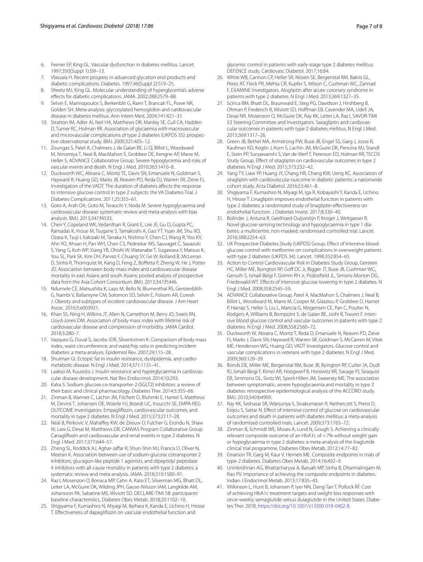- <span id="page-6-0"></span>6. Feener EP, King GL. Vascular dysfunction in diabetes mellitus. Lancet. 1997;350(Suppl 1):SI9–13.
- 7. Vlassara H. Recent progress in advanced glycation end products and diabetic complications. Diabetes. 1997;46(Suppl 2):S19–25.
- 8. Sheetz MJ, King GL. Molecular understanding of hyperglycemia's adverse efects for diabetic complications. JAMA. 2002;288:2579–88.
- <span id="page-6-1"></span>9. Selvin E, Marinopoulos S, Berkenblit G, Rami T, Brancati FL, Powe NR, Golden SH. Meta-analysis: glycosylated hemoglobin and cardiovascular disease in diabetes mellitus. Ann Intern Med. 2004;141:421–31.
- <span id="page-6-2"></span>10. Stratton IM, Adler AI, Neil HA, Matthews DR, Manley SE, Cull CA, Hadden D, Turner RC, Holman RR. Association of glycaemia with macrovascular and microvascular complications of type 2 diabetes (UKPDS 35): prospective observational study. BMJ. 2000;321:405–12.
- <span id="page-6-3"></span>11. Zoungas S, Patel A, Chalmers J, de Galan BE, Li Q, Billot L, Woodward M, Ninomiya T, Neal B, MacMahon S, Grobbee DE, Kengne AP, Marre M, Heller S, ADVANCE Collaborative Group. Severe hypoglycemia and risks of vascular events and death. N Engl J Med. 2010;363:1410–8.
- 12. Duckworth WC, Abraira C, Moritz TE, Davis SN, Emanuele N, Goldman S, Hayward R, Huang GD, Marks JB, Reaven PD, Reda DJ, Warren SR, Zieve FJ, Investigators of the VADT. The duration of diabetes afects the response to intensive glucose control in type 2 subjects: the VA Diabetes Trial. J Diabetes Complications. 2011;25:355–61.
- <span id="page-6-4"></span>13. Goto A, Arah OA, Goto M, Terauchi Y, Noda M. Severe hypoglycaemia and cardiovascular disease: systematic review and meta-analysis with bias analysis. BMJ. 2013;347:f4533.
- <span id="page-6-5"></span>14. Chen Y, Copeland WK, Vedanthan R, Grant E, Lee JE, Gu D, Gupta PC, Ramadas K, Inoue M, Tsugane S, Tamakoshi A, Gao YT, Yuan JM, Shu XO, Ozasa K, Tsuji I, Kakizaki M, Tanaka H, Nishino Y, Chen CJ, Wang R, Yoo KY, Ahn YO, Ahsan H, Pan WH, Chen CS, Pednekar MS, Sauvaget C, Sasazuki S, Yang G, Koh WP, Xiang YB, Ohishi W, Watanabe T, Sugawara Y, Matsuo K, You SL, Park SK, Kim DH, Parvez F, Chuang SY, Ge W, Rolland B, McLerran D, Sinha R, Thornquist M, Kang D, Feng Z, Boffetta P, Zheng W, He J, Potter JD. Association between body mass index and cardiovascular disease mortality in east Asians and south Asians: pooled analysis of prospective data from the Asia Cohort Consortium. BMJ. 2013;347:f5446.
- 15. Ndumele CE, Matsushita K, Lazo M, Bello N, Blumenthal RS, Gerstenblith G, Nambi V, Ballantyne CM, Solomon SD, Selvin E, Folsom AR, Coresh J. Obesity and subtypes of incident cardiovascular disease. J Am Heart Assoc. 2016;5:e003921.
- <span id="page-6-6"></span>16. Khan SS, Ning H, Wilkins JT, Allen N, Carnethon M, Berry JD, Sweis RN, Lloyd-Jones DM. Association of body mass index with lifetime risk of cardiovascular disease and compression of morbidity. JAMA Cardiol. 2018;3:280–7.
- <span id="page-6-7"></span>17. Vazquez G, Duval S, Jacobs JDR, Silventoinen K. Comparison of body mass index, waist circumference, and waist/hip ratio in predicting incident diabetes: a meta-analysis. Epidemiol Rev. 2007;29:115–28.
- <span id="page-6-8"></span>18. Shulman GI. Ectopic fat in insulin resistance, dyslipidemia, and cardiometabolic disease. N Engl J Med. 2014;371:1131–41.
- <span id="page-6-9"></span>19. Laakso M, Kuusisto J. Insulin resistance and hyperglycaemia in cardiovascular disease development. Nat Rev Endocrinol. 2014;10:293.
- <span id="page-6-10"></span>20. Kalra S. Sodium glucose co-transporter-2 (SGLT2) inhibitors: a review of their basic and clinical pharmacology. Diabetes Ther. 2014;5:355–66.
- <span id="page-6-11"></span>21. Zinman B, Wanner C, Lachin JM, Fitchett D, Bluhmki E, Hantel S, Mattheus M, Devins T, Johansen OE, Woerle HJ, Broedl UC, Inzucchi SE, EMPA-REG OUTCOME Investigators. Empaglifozin, cardiovascular outcomes, and mortality in type 2 diabetes. N Engl J Med. 2015;373:2117–28.
- <span id="page-6-24"></span>22. Neal B, Perkovic V, Mahaffey KW, de Zeeuw D, Fulcher G, Erondu N, Shaw W, Law G, Desai M, Matthews DR, CANVAS Program Collaborative Group. Canaglifozin and cardiovascular and renal events in type 2 diabetes. N Engl J Med. 2017;377:644–57.
- <span id="page-6-12"></span>23. Zheng SL, Roddick AJ, Aghar-Jaffar R, Shun-Shin MJ, Francis D, Oliver N, Meeran K. Association between use of sodium-glucose cotransporter 2 inhibitors, glucagon-like peptide 1 agonists, and dipeptidyl peptidase 4 inhibitors with all-cause mortality in patients with type 2 diabetes: a systematic review and meta-analysis. JAMA. 2018;319:1580–91.
- <span id="page-6-13"></span>24. Raz I, Mosenzon O, Bonaca MP, Cahn A, Kato ET, Silverman MG, Bhatt DL, Leiter LA, McGuire DK, Wilding JPH, Gause-Nilsson IAM, Langkilde AM, Johansson PA, Sabatine MS, Wiviott SD. DECLARE-TIMI 58: participants' baseline characteristics. Diabetes Obes Metab. 2018;20:1102–10.
- <span id="page-6-14"></span>25. Shigiyama F, Kumashiro N, Miyagi M, Ikehara K, Kanda E, Uchino H, Hirose T. Efectiveness of dapaglifozin on vascular endothelial function and

glycemic control in patients with early-stage type 2 diabetes mellitus: DEFENCE study. Cardiovasc Diabetol. 2017;16:84.

- <span id="page-6-15"></span>26. White WB, Cannon CP, Heller SR, Nissen SE, Bergenstal RM, Bakris GL, Perez AT, Fleck PR, Mehta CR, Kupfer S, Wilson C, Cushman WC, Zannad F, EXAMINE Investigators. Alogliptin after acute coronary syndrome in patients with type 2 diabetes. N Engl J Med. 2013;369:1327–35.
- <span id="page-6-29"></span>27. Scirica BM, Bhatt DL, Braunwald E, Steg PG, Davidson J, Hirshberg B, Ohman P, Frederich R, Wiviott SD, Hofman EB, Cavender MA, Udell JA, Desai NR, Mosenzon O, McGuire DK, Ray KK, Leiter LA, Raz I, SAVOR-TIMI 53 Steering Committee and Investigators. Saxagliptin and cardiovascular outcomes in patients with type 2 diabetes mellitus. N Engl J Med. 2013;369:1317–26.
- <span id="page-6-16"></span>28. Green JB, Bethel MA, Armstrong PW, Buse JB, Engel SS, Garg J, Josse R, Kaufman KD, Koglin J, Korn S, Lachin JM, McGuire DK, Pencina MJ, Standl E, Stein PP, Suryawanshi S, Van de Werf F, Peterson ED, Holman RR, TECOS Study Group. Efect of sitagliptin on cardiovascular outcomes in type 2 diabetes. N Engl J Med. 2015;373:232–42.
- <span id="page-6-17"></span>29. Yang TY, Liaw YP, Huang JY, Chang HR, Chang KW, Ueng KC. Association of sitagliptin with cardiovascular outcome in diabetic patients: a nationwide cohort study. Acta Diabetol. 2016;53:461–8.
- <span id="page-6-18"></span>30. Shigiyama F, Kumashiro N, Miyagi M, Iga R, Kobayashi Y, Kanda E, Uchino H, Hirose T. Linagliptin improves endothelial function in patients with type 2 diabetes: a randomized study of linagliptin efectiveness on endothelial function. J Diabetes Invest. 2017;8:330–40.
- <span id="page-6-19"></span>31. Bolinder J, Antuna R, Geelhoed-Duijvestijn P, Kroger J, Weitgasser R. Novel glucose-sensing technology and hypoglycaemia in type 1 diabetes: a multicentre, non-masked, randomised controlled trial. Lancet. 2016;388:2254–63.
- <span id="page-6-20"></span>32. UK Prospective Diabetes Study (UKPDS) Group. Efect of intensive bloodglucose control with metformin on complications in overweight patients with type 2 diabetes (UKPDS 34). Lancet. 1998;352:854–65.
- 33. Action to Control Cardiovascular Risk in Diabetes Study Group, Gerstein HC, Miller ME, Byington RP, Goff DC Jr, Bigger JT, Buse JB, Cushman WC, Genuth S, Ismail-Beigi F, Grimm RH Jr, Probstfeld JL, Simons-Morton DG, Friedewald WT. Efects of intensive glucose lowering in type 2 diabetes. N Engl J Med. 2008;358:2545–59.
- 34. ADVANCE Collaborative Group, Patel A, MacMahon S, Chalmers J, Neal B, Billot L, Woodward M, Marre M, Cooper M, Glasziou P, Grobbee D, Hamet P, Harrap S, Heller S, Liu L, Mancia G, Mogensen CE, Pan C, Poulter N, Rodgers A, Williams B, Bompoint S, de Galan BE, Joshi R, Travert F. Intensive blood glucose control and vascular outcomes in patients with type 2 diabetes. N Engl J Med. 2008;358:2560–72.
- <span id="page-6-21"></span>35. Duckworth W, Abraira C, Moritz T, Reda D, Emanuele N, Reaven PD, Zieve FJ, Marks J, Davis SN, Hayward R, Warren SR, Goldman S, McCarren M, Vitek ME, Henderson WG, Huang GD, VADT Investigators. Glucose control and vascular complications in veterans with type 2 diabetes. N Engl J Med. 2009;360:129–39.
- <span id="page-6-22"></span>36. Bonds DE, Miller ME, Bergenstal RM, Buse JB, Byington RP, Cutler JA, Dudl RJ, Ismail-Beigi F, Kimel AR, Hoogwerf B, Horowitz KR, Savage PJ, Seaquist ER, Simmons DL, Sivitz WI, Speril-Hillen JM, Sweeney ME. The association between symptomatic, severe hypoglycaemia and mortality in type 2 diabetes: retrospective epidemiological analysis of the ACCORD study. BMJ. 2010;340:b4909.
- <span id="page-6-23"></span>37. Ray KK, Seshasai SR, Wijesuriya S, Sivakumaran R, Nethercott S, Preiss D, Erqou S, Sattar N. Efect of intensive control of glucose on cardiovascular outcomes and death in patients with diabetes mellitus: a meta-analysis of randomised controlled trials. Lancet. 2009;373:1765–72.
- <span id="page-6-25"></span>38. Zinman B, Schmidt WE, Moses A, Lund N, Gough S. Achieving a clinically relevant composite outcome of an HbA1c of <7% without weight gain or hypoglycaemia in type 2 diabetes: a meta-analysis of the liraglutide clinical trial programme. Diabetes Obes Metab. 2012;14:77–82.
- <span id="page-6-26"></span>39. Einarson TR, Garg M, Kaur V, Hemels ME. Composite endpoints in trials of type-2 diabetes. Diabetes Obes Metab. 2014;16:492–9.
- <span id="page-6-28"></span>40. Unnikrishnan AG, Bhattacharyya A, Baruah MP, Sinha B, Dharmalingam M, Rao PV. Importance of achieving the composite endpoints in diabetes. Indian J Endocrinol Metab. 2013;17:835–43.
- <span id="page-6-27"></span>41. Wilkinson L, Hunt B, Johansen P, Iyer NN, Dang-Tan T, Pollock RF. Cost of achieving HbA1c treatment targets and weight loss responses with once-weekly semaglutide versus dulaglutide in the United States. Diabetes Ther. 2018.<https://doi.org/10.1007/s13300-018-0402-8>.